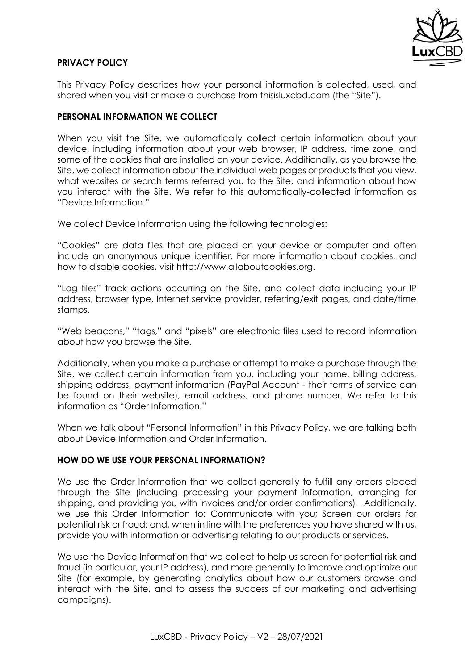

### **PRIVACY POLICY**

This Privacy Policy describes how your personal information is collected, used, and shared when you visit or make a purchase from thisisluxcbd.com (the "Site").

#### **PERSONAL INFORMATION WE COLLECT**

When you visit the Site, we automatically collect certain information about your device, including information about your web browser, IP address, time zone, and some of the cookies that are installed on your device. Additionally, as you browse the Site, we collect information about the individual web pages or products that you view, what websites or search terms referred you to the Site, and information about how you interact with the Site. We refer to this automatically-collected information as "Device Information."

We collect Device Information using the following technologies:

"Cookies" are data files that are placed on your device or computer and often include an anonymous unique identifier. For more information about cookies, and how to disable cookies, visit http://www.allaboutcookies.org.

"Log files" track actions occurring on the Site, and collect data including your IP address, browser type, Internet service provider, referring/exit pages, and date/time stamps.

"Web beacons," "tags," and "pixels" are electronic files used to record information about how you browse the Site.

Additionally, when you make a purchase or attempt to make a purchase through the Site, we collect certain information from you, including your name, billing address, shipping address, payment information (PayPal Account - their terms of service can be found on their website), email address, and phone number. We refer to this information as "Order Information."

When we talk about "Personal Information" in this Privacy Policy, we are talking both about Device Information and Order Information.

### **HOW DO WE USE YOUR PERSONAL INFORMATION?**

We use the Order Information that we collect generally to fulfill any orders placed through the Site (including processing your payment information, arranging for shipping, and providing you with invoices and/or order confirmations). Additionally, we use this Order Information to: Communicate with you; Screen our orders for potential risk or fraud; and, when in line with the preferences you have shared with us, provide you with information or advertising relating to our products or services.

We use the Device Information that we collect to help us screen for potential risk and fraud (in particular, your IP address), and more generally to improve and optimize our Site (for example, by generating analytics about how our customers browse and interact with the Site, and to assess the success of our marketing and advertising campaigns).